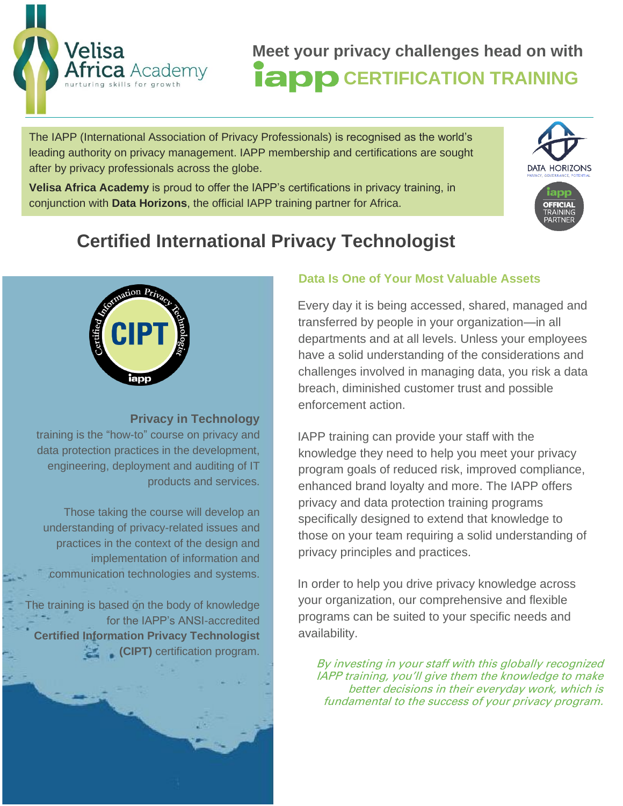

**Meet your privacy challenges head on with EXAMPLE OF CERTIFICATION TRAINING** 

The IAPP (International Association of Privacy Professionals) is recognised as the world's leading authority on privacy management. IAPP membership and certifications are sought after by privacy professionals across the globe.

**Velisa Africa Academy** is proud to offer the IAPP's certifications in privacy training, in conjunction with **Data Horizons**, the official IAPP training partner for Africa.



# **Certified International Privacy Technologist**



**Privacy in Technology**

training is the "how-to" course on privacy and data protection practices in the development, engineering, deployment and auditing of IT products and services.

Those taking the course will develop an understanding of privacy-related issues and practices in the context of the design and implementation of information and communication technologies and systems.

The training is based on the body of knowledge for the IAPP's ANSI-accredited **Certified Information Privacy Technologist (CIPT)** certification program.

#### **Data Is One of Your Most Valuable Assets**

Every day it is being accessed, shared, managed and transferred by people in your organization—in all departments and at all levels. Unless your employees have a solid understanding of the considerations and challenges involved in managing data, you risk a data breach, diminished customer trust and possible enforcement action.

IAPP training can provide your staff with the knowledge they need to help you meet your privacy program goals of reduced risk, improved compliance, enhanced brand loyalty and more. The IAPP offers privacy and data protection training programs specifically designed to extend that knowledge to those on your team requiring a solid understanding of privacy principles and practices.

In order to help you drive privacy knowledge across your organization, our comprehensive and flexible programs can be suited to your specific needs and availability.

By investing in your staff with this globally recognized IAPP training, you'll give them the knowledge to make better decisions in their everyday work, which is fundamental to the success of your privacy program.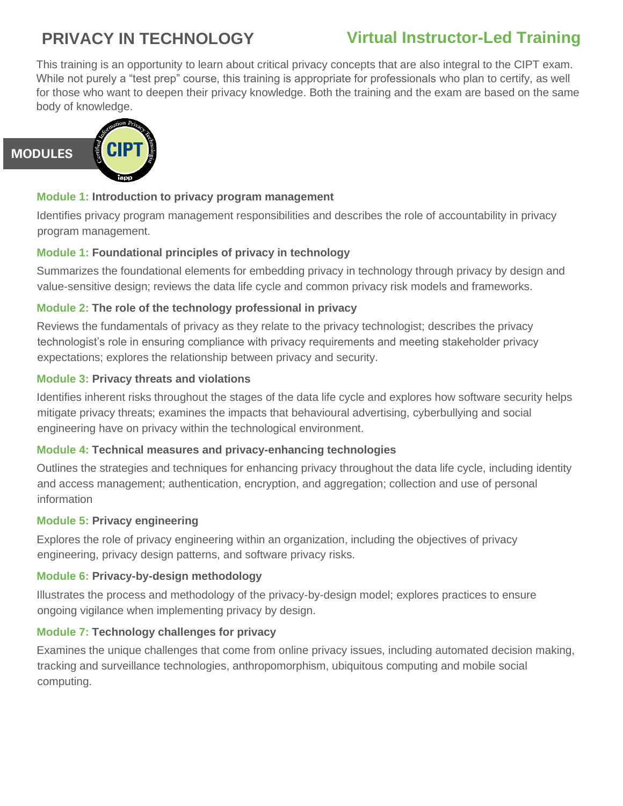## **PRIVACY IN TECHNOLOGY**

### **Virtual Instructor-Led Training**

This training is an opportunity to learn about critical privacy concepts that are also integral to the CIPT exam. While not purely a "test prep" course, this training is appropriate for professionals who plan to certify, as well for those who want to deepen their privacy knowledge. Both the training and the exam are based on the same body of knowledge.



#### **Module 1: Introduction to privacy program management**

Identifies privacy program management responsibilities and describes the role of accountability in privacy program management.

#### **Module 1: Foundational principles of privacy in technology**

Summarizes the foundational elements for embedding privacy in technology through privacy by design and value-sensitive design; reviews the data life cycle and common privacy risk models and frameworks.

#### **Module 2: The role of the technology professional in privacy**

Reviews the fundamentals of privacy as they relate to the privacy technologist; describes the privacy technologist's role in ensuring compliance with privacy requirements and meeting stakeholder privacy expectations; explores the relationship between privacy and security.

#### **Module 3: Privacy threats and violations**

Identifies inherent risks throughout the stages of the data life cycle and explores how software security helps mitigate privacy threats; examines the impacts that behavioural advertising, cyberbullying and social engineering have on privacy within the technological environment.

#### **Module 4: Technical measures and privacy-enhancing technologies**

Outlines the strategies and techniques for enhancing privacy throughout the data life cycle, including identity and access management; authentication, encryption, and aggregation; collection and use of personal information

#### **Module 5: Privacy engineering**

Explores the role of privacy engineering within an organization, including the objectives of privacy engineering, privacy design patterns, and software privacy risks.

#### **Module 6: Privacy-by-design methodology**

Illustrates the process and methodology of the privacy-by-design model; explores practices to ensure ongoing vigilance when implementing privacy by design.

#### **Module 7: Technology challenges for privacy**

Examines the unique challenges that come from online privacy issues, including automated decision making, tracking and surveillance technologies, anthropomorphism, ubiquitous computing and mobile social computing.